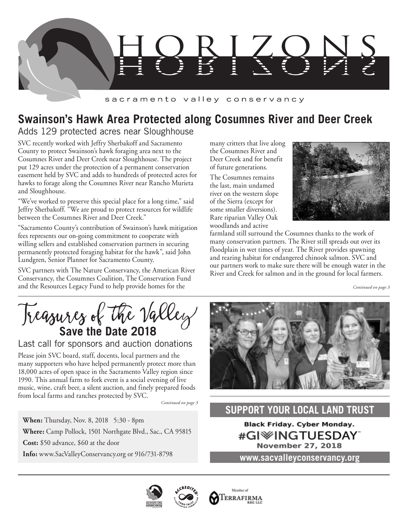

### sacramento valley conservancy

# **Swainson's Hawk Area Protected along Cosumnes River and Deer Creek**

## Adds 129 protected acres near Sloughhouse

SVC recently worked with Jeffry Sherbakoff and Sacramento County to protect Swainson's hawk foraging area next to the Cosumnes River and Deer Creek near Sloughhouse. The project put 129 acres under the protection of a permanent conservation easement held by SVC and adds to hundreds of protected acres for hawks to forage along the Cosumnes River near Rancho Murieta and Sloughhouse.

"We've worked to preserve this special place for a long time," said Jeffry Sherbakoff. "We are proud to protect resources for wildlife between the Cosumnes River and Deer Creek."

"Sacramento County's contribution of Swainson's hawk mitigation fees represents our on-going commitment to cooperate with willing sellers and established conservation partners in securing permanently protected foraging habitat for the hawk", said John Lundgren, Senior Planner for Sacramento County.

SVC partners with The Nature Conservancy, the American River Conservancy, the Cosumnes Coalition, The Conservation Fund and the Resources Legacy Fund to help provide homes for the

many critters that live along the Cosumnes River and Deer Creek and for benefit of future generations.

The Cosumnes remains the last, main undamed river on the western slope of the Sierra (except for some smaller diversions). Rare riparian Valley Oak woodlands and active



farmland still surround the Cosumnes thanks to the work of many conservation partners. The River still spreads out over its floodplain in wet times of year. The River provides spawning and rearing habitat for endangered chinook salmon. SVC and our partners work to make sure there will be enough water in the River and Creek for salmon and in the ground for local farmers.

*Continued on page 3*

Treasures of the Valley

### Last call for sponsors and auction donations

Please join SVC board, staff, docents, local partners and the many supporters who have helped permanently protect more than 18,000 acres of open space in the Sacramento Valley region since 1990. This annual farm to fork event is a social evening of live music, wine, craft beer, a silent auction, and finely prepared foods from local farms and ranches protected by SVC.

*Continued on page 3*

**When:** Thursday, Nov. 8, 2018 5:30 - 8pm **Where:** Camp Pollock, 1501 Northgate Blvd., Sac., CA 95815 **Cost:** \$50 advance, \$60 at the door **Info:** www.SacValleyConservancy.org or 916/731-8798



## **SUPPORT YOUR LOCAL LAND TRUST**

**Black Friday. Cyber Monday.** #GI<sup>\</sup>NGTUESDAY **November 27, 2018** 

**www.sacvalleyconservancy.org**



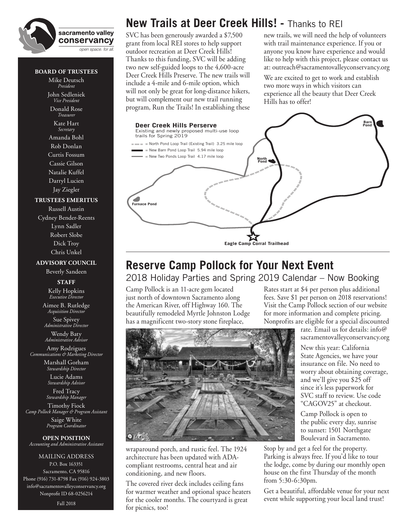

### **BOARD OF TRUSTEES**

Mike Deutsch *President* John Sedleniek *Vice President*

Donald Rose *Treasurer*

#### Kate Hart *Secretary*

Amanda Bohl Rob Donlan Curtis Fossum Cassie Gilson Natalie Kuffel Darryl Lucien Jay Ziegler

#### **TRUSTEES EMERITUS**

Russell Austin Cydney Bender-Reents Lynn Sadler Robert Slobe Dick Troy Chris Unkel

### **ADVISORY COUNCIL**

Beverly Sandeen **STAFF**

Kelly Hopkins *Executive Director*

Aimee B. Rutledge *Acquisition Director* Sue Spivey

*Administrative Director*

Wendy Baty *Administrative Advisor*

Amy Rodrigues *Communications & Marketing Director*

> Marshall Gorham *Stewardship Director* Lucie Adams

*Stewardship Advisor*

Fred Tracy *Stewardship Manager* Timothy Fiock *Camp Pollock Manager & Program Assistant* Saige White

*Program Coordinator*

**OPEN POSITION** *Accounting and Administrative Assistant*

MAILING ADDRESS P.O. Box 163351 Sacramento, CA 95816 Phone (916) 731-8798 Fax (916) 924-3803 info@sacramentovalleyconservancy.org Nonprofit ID 68-0256214

Fall 2018

# **New Trails at Deer Creek Hills! -** Thanks to REI

SVC has been generously awarded a \$7,500 grant from local REI stores to help support outdoor recreation at Deer Creek Hills! Thanks to this funding, SVC will be adding two new self-guided loops to the 4,600-acre Deer Creek Hills Preserve. The new trails will include a 4-mile and 6-mile option, which will not only be great for long-distance hikers, but will complement our new trail running program, Run the Trails! In establishing these new trails, we will need the help of volunteers with trail maintenance experience. If you or anyone you know have experience and would like to help with this project, please contact us at: outreach@sacramentovalleyconservancy.org

We are excited to get to work and establish two more ways in which visitors can experience all the beauty that Deer Creek Hills has to offer!

# **Barna Creek Hills Perserve** Existing and newly proposed multi-use loop trails for Spring 2019 = North Pond Loop Trail (Existing Trail) 3.25 mile loop = New Barn Pond Loop Trail 5.94 mile loop = New Two Ponds Loop Trail 4.17 mile loop**North Pond** 4 **Furnace Pond Eagle Camp Corral Trailhead**

## **Reserve Camp Pollock for Your Next Event** 2018 Holiday Parties and Spring 2019 Calendar – Now Booking

Camp Pollock is an 11-acre gem located just north of downtown Sacramento along the American River, off Highway 160. The beautifully remodeled Myrtle Johnston Lodge has a magnificent two-story stone fireplace,

Rates start at \$4 per person plus additional fees. Save \$1 per person on 2018 reservations! Visit the Camp Pollock section of our website for more information and complete pricing. Nonprofits are eligible for a special discounted

rate. Email us for details: info@ sacramentovalleyconservancy.org

New this year: California State Agencies, we have your insurance on file. No need to worry about obtaining coverage, and we'll give you \$25 off since it's less paperwork for SVC staff to review. Use code "CAGOV25" at checkout.

Camp Pollock is open to the public every day, sunrise to sunset: 1501 Northgate Boulevard in Sacramento.

Stop by and get a feel for the property. Parking is always free. If you'd like to tour the lodge, come by during our monthly open house on the first Thursday of the month from 5:30-6:30pm.

Get a beautiful, affordable venue for your next event while supporting your local land trust!

wraparound porch, and rustic feel. The 1924 architecture has been updated with ADAcompliant restrooms, central heat and air conditioning, and new floors.

The covered river deck includes ceiling fans for warmer weather and optional space heaters for the cooler months. The courtyard is great for picnics, too!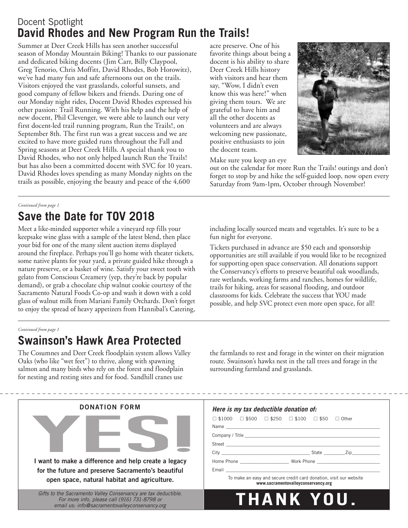## Docent Spotlight **David Rhodes and New Program Run the Trails!**

Summer at Deer Creek Hills has seen another successful season of Monday Mountain Biking! Thanks to our passionate and dedicated biking docents (Jim Carr, Billy Claypool, Greg Tenorio, Chris Moffitt, David Rhodes, Bob Horowitz), we've had many fun and safe afternoons out on the trails. Visitors enjoyed the vast grasslands, colorful sunsets, and good company of fellow bikers and friends. During one of our Monday night rides, Docent David Rhodes expressed his other passion: Trail Running. With his help and the help of new docent, Phil Clevenger, we were able to launch our very first docent-led trail running program, Run the Trails!, on September 8th. The first run was a great success and we are excited to have more guided runs throughout the Fall and Spring seasons at Deer Creek Hills. A special thank you to David Rhodes, who not only helped launch Run the Trails! but has also been a committed docent with SVC for 10 years. David Rhodes loves spending as many Monday nights on the trails as possible, enjoying the beauty and peace of the 4,600

acre preserve. One of his favorite things about being a docent is his ability to share Deer Creek Hills history with visitors and hear them say, "Wow, I didn't even know this was here!" when giving them tours. We are grateful to have him and all the other docents as volunteers and are always welcoming new passionate, positive enthusiasts to join the docent team.



Make sure you keep an eye

out on the calendar for more Run the Trails! outings and don't forget to stop by and hike the self-guided loop, now open every Saturday from 9am-1pm, October through November!

### *Continued from page 1*

# **Save the Date for TOV 2018**

Meet a like-minded supporter while a vineyard rep fills your keepsake wine glass with a sample of the latest blend, then place your bid for one of the many silent auction items displayed around the fireplace. Perhaps you'll go home with theater tickets, some native plants for your yard, a private guided hike through a nature preserve, or a basket of wine. Satisfy your sweet tooth with gelato from Conscious Creamery (yep, they're back by popular demand), or grab a chocolate chip walnut cookie courtesy of the Sacramento Natural Foods Co-op and wash it down with a cold glass of walnut milk from Mariani Family Orchards. Don't forget to enjoy the spread of heavy appetizers from Hannibal's Catering,

including locally sourced meats and vegetables. It's sure to be a fun night for everyone.

Tickets purchased in advance are \$50 each and sponsorship opportunities are still available if you would like to be recognized for supporting open space conservation. All donations support the Conservancy's efforts to preserve beautiful oak woodlands, rare wetlands, working farms and ranches, homes for wildlife, trails for hiking, areas for seasonal flooding, and outdoor classrooms for kids. Celebrate the success that YOU made possible, and help SVC protect even more open space, for all!

### *Continued from page 1*

## **Swainson's Hawk Area Protected**

The Cosumnes and Deer Creek floodplain system allows Valley Oaks (who like "wet feet") to thrive, along with spawning salmon and many birds who rely on the forest and floodplain for nesting and resting sites and for food. Sandhill cranes use

the farmlands to rest and forage in the winter on their migration route. Swainson's hawks nest in the tall trees and forage in the surrounding farmland and grasslands.

| <b>DONATION FORM</b>                                                                                                                                             | Here is my tax deductible donation of:                                                                                                                                                                                            |  |
|------------------------------------------------------------------------------------------------------------------------------------------------------------------|-----------------------------------------------------------------------------------------------------------------------------------------------------------------------------------------------------------------------------------|--|
|                                                                                                                                                                  | $\Box$ \$1000 $\Box$ \$500 $\Box$ \$250 $\Box$ \$100 $\Box$ \$50 $\Box$ Other                                                                                                                                                     |  |
| I want to make a difference and help create a legacy<br>for the future and preserve Sacramento's beautiful<br>open space, natural habitat and agriculture.       | Home Phone <b>Sales Contract Server Server Server Server Server Server Server Server Server Server Server Server</b><br>To make an easy and secure credit card donation, visit our website<br>www.sacramentovalleyconservancy.org |  |
| Gifts to the Sacramento Valley Conservancy are tax deductible.<br>For more info, please call (916) 731-8798 or<br>email us: info@sacramentovalleyconservancy.org | THANK YOU.                                                                                                                                                                                                                        |  |